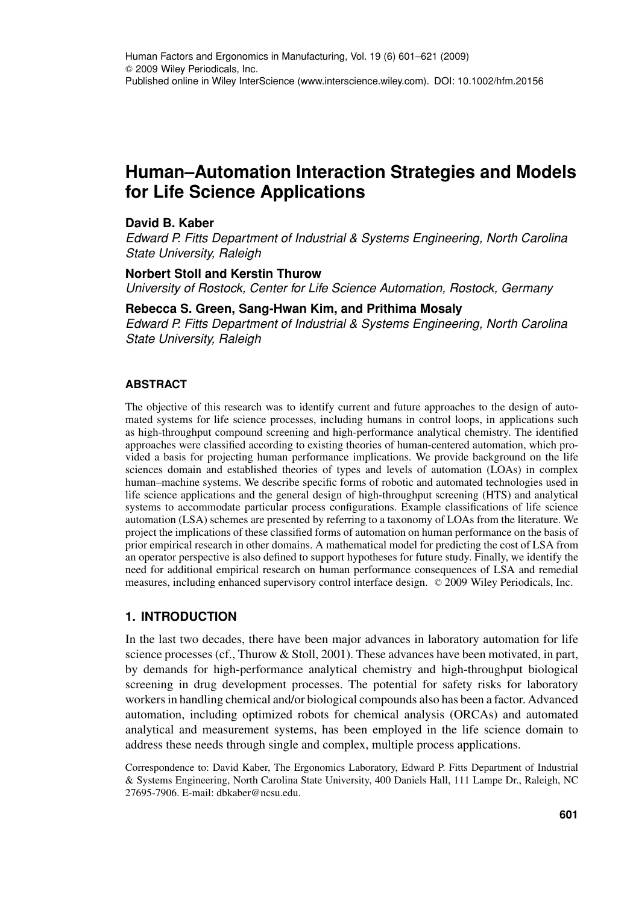# **Human–Automation Interaction Strategies and Models for Life Science Applications**

## **David B. Kaber**

Edward P. Fitts Department of Industrial & Systems Engineering, North Carolina State University, Raleigh

### **Norbert Stoll and Kerstin Thurow**

University of Rostock, Center for Life Science Automation, Rostock, Germany

#### **Rebecca S. Green, Sang-Hwan Kim, and Prithima Mosaly**

Edward P. Fitts Department of Industrial & Systems Engineering, North Carolina State University, Raleigh

### **ABSTRACT**

The objective of this research was to identify current and future approaches to the design of automated systems for life science processes, including humans in control loops, in applications such as high-throughput compound screening and high-performance analytical chemistry. The identified approaches were classified according to existing theories of human-centered automation, which provided a basis for projecting human performance implications. We provide background on the life sciences domain and established theories of types and levels of automation (LOAs) in complex human–machine systems. We describe specific forms of robotic and automated technologies used in life science applications and the general design of high-throughput screening (HTS) and analytical systems to accommodate particular process configurations. Example classifications of life science automation (LSA) schemes are presented by referring to a taxonomy of LOAs from the literature. We project the implications of these classified forms of automation on human performance on the basis of prior empirical research in other domains. A mathematical model for predicting the cost of LSA from an operator perspective is also defined to support hypotheses for future study. Finally, we identify the need for additional empirical research on human performance consequences of LSA and remedial measures, including enhanced supervisory control interface design.  $\degree$  2009 Wiley Periodicals, Inc.

### **1. INTRODUCTION**

In the last two decades, there have been major advances in laboratory automation for life science processes (cf., Thurow & Stoll, 2001). These advances have been motivated, in part, by demands for high-performance analytical chemistry and high-throughput biological screening in drug development processes. The potential for safety risks for laboratory workers in handling chemical and/or biological compounds also has been a factor. Advanced automation, including optimized robots for chemical analysis (ORCAs) and automated analytical and measurement systems, has been employed in the life science domain to address these needs through single and complex, multiple process applications.

Correspondence to: David Kaber, The Ergonomics Laboratory, Edward P. Fitts Department of Industrial & Systems Engineering, North Carolina State University, 400 Daniels Hall, 111 Lampe Dr., Raleigh, NC 27695-7906. E-mail: dbkaber@ncsu.edu.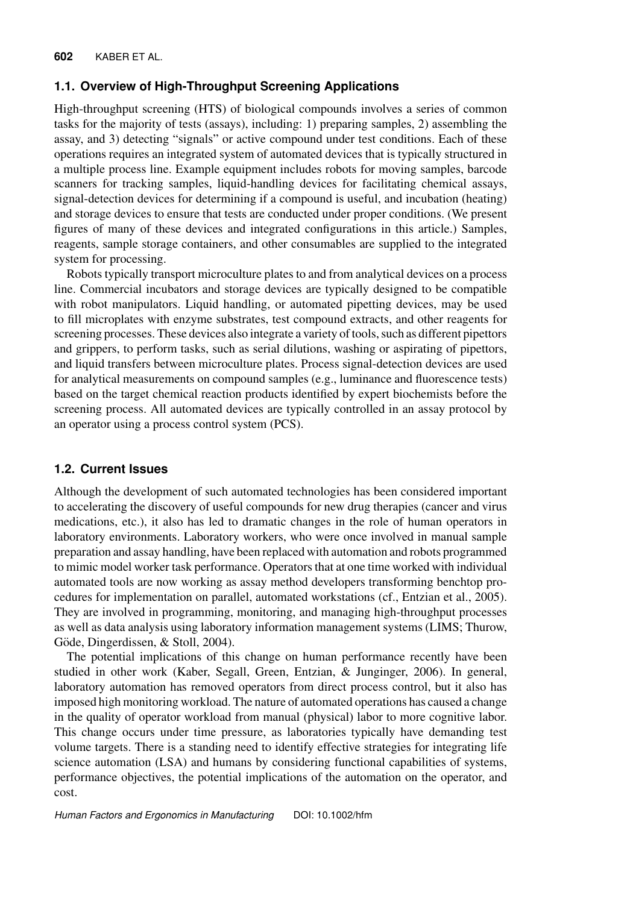## **1.1. Overview of High-Throughput Screening Applications**

High-throughput screening (HTS) of biological compounds involves a series of common tasks for the majority of tests (assays), including: 1) preparing samples, 2) assembling the assay, and 3) detecting "signals" or active compound under test conditions. Each of these operations requires an integrated system of automated devices that is typically structured in a multiple process line. Example equipment includes robots for moving samples, barcode scanners for tracking samples, liquid-handling devices for facilitating chemical assays, signal-detection devices for determining if a compound is useful, and incubation (heating) and storage devices to ensure that tests are conducted under proper conditions. (We present figures of many of these devices and integrated configurations in this article.) Samples, reagents, sample storage containers, and other consumables are supplied to the integrated system for processing.

Robots typically transport microculture plates to and from analytical devices on a process line. Commercial incubators and storage devices are typically designed to be compatible with robot manipulators. Liquid handling, or automated pipetting devices, may be used to fill microplates with enzyme substrates, test compound extracts, and other reagents for screening processes. These devices also integrate a variety of tools, such as different pipettors and grippers, to perform tasks, such as serial dilutions, washing or aspirating of pipettors, and liquid transfers between microculture plates. Process signal-detection devices are used for analytical measurements on compound samples (e.g., luminance and fluorescence tests) based on the target chemical reaction products identified by expert biochemists before the screening process. All automated devices are typically controlled in an assay protocol by an operator using a process control system (PCS).

### **1.2. Current Issues**

Although the development of such automated technologies has been considered important to accelerating the discovery of useful compounds for new drug therapies (cancer and virus medications, etc.), it also has led to dramatic changes in the role of human operators in laboratory environments. Laboratory workers, who were once involved in manual sample preparation and assay handling, have been replaced with automation and robots programmed to mimic model worker task performance. Operators that at one time worked with individual automated tools are now working as assay method developers transforming benchtop procedures for implementation on parallel, automated workstations (cf., Entzian et al., 2005). They are involved in programming, monitoring, and managing high-throughput processes as well as data analysis using laboratory information management systems (LIMS; Thurow, Göde, Dingerdissen, & Stoll, 2004).

The potential implications of this change on human performance recently have been studied in other work (Kaber, Segall, Green, Entzian, & Junginger, 2006). In general, laboratory automation has removed operators from direct process control, but it also has imposed high monitoring workload. The nature of automated operations has caused a change in the quality of operator workload from manual (physical) labor to more cognitive labor. This change occurs under time pressure, as laboratories typically have demanding test volume targets. There is a standing need to identify effective strategies for integrating life science automation (LSA) and humans by considering functional capabilities of systems, performance objectives, the potential implications of the automation on the operator, and cost.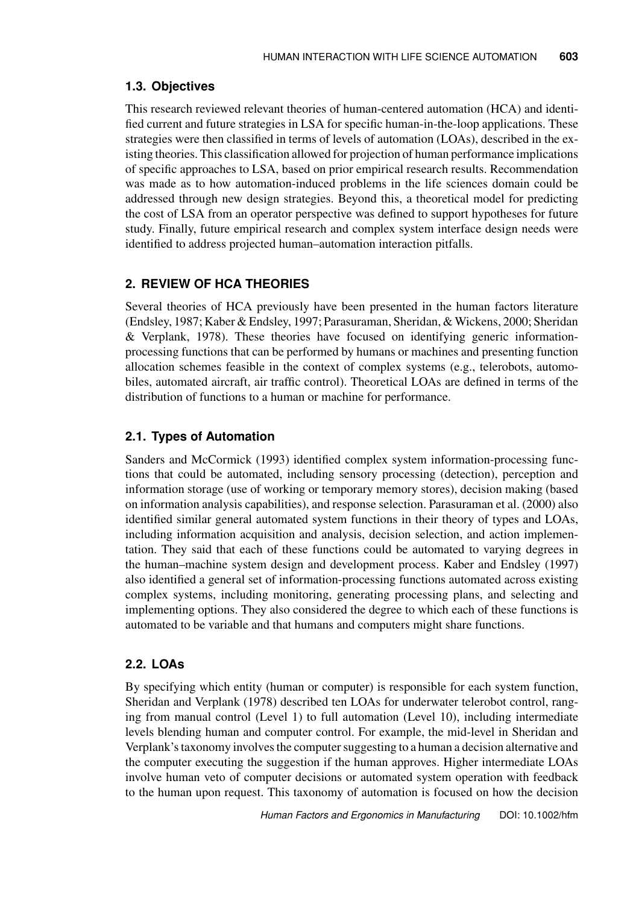## **1.3. Objectives**

This research reviewed relevant theories of human-centered automation (HCA) and identified current and future strategies in LSA for specific human-in-the-loop applications. These strategies were then classified in terms of levels of automation (LOAs), described in the existing theories. This classification allowed for projection of human performance implications of specific approaches to LSA, based on prior empirical research results. Recommendation was made as to how automation-induced problems in the life sciences domain could be addressed through new design strategies. Beyond this, a theoretical model for predicting the cost of LSA from an operator perspective was defined to support hypotheses for future study. Finally, future empirical research and complex system interface design needs were identified to address projected human–automation interaction pitfalls.

# **2. REVIEW OF HCA THEORIES**

Several theories of HCA previously have been presented in the human factors literature (Endsley, 1987; Kaber & Endsley, 1997; Parasuraman, Sheridan, & Wickens, 2000; Sheridan & Verplank, 1978). These theories have focused on identifying generic informationprocessing functions that can be performed by humans or machines and presenting function allocation schemes feasible in the context of complex systems (e.g., telerobots, automobiles, automated aircraft, air traffic control). Theoretical LOAs are defined in terms of the distribution of functions to a human or machine for performance.

# **2.1. Types of Automation**

Sanders and McCormick (1993) identified complex system information-processing functions that could be automated, including sensory processing (detection), perception and information storage (use of working or temporary memory stores), decision making (based on information analysis capabilities), and response selection. Parasuraman et al. (2000) also identified similar general automated system functions in their theory of types and LOAs, including information acquisition and analysis, decision selection, and action implementation. They said that each of these functions could be automated to varying degrees in the human–machine system design and development process. Kaber and Endsley (1997) also identified a general set of information-processing functions automated across existing complex systems, including monitoring, generating processing plans, and selecting and implementing options. They also considered the degree to which each of these functions is automated to be variable and that humans and computers might share functions.

# **2.2. LOAs**

By specifying which entity (human or computer) is responsible for each system function, Sheridan and Verplank (1978) described ten LOAs for underwater telerobot control, ranging from manual control (Level 1) to full automation (Level 10), including intermediate levels blending human and computer control. For example, the mid-level in Sheridan and Verplank's taxonomy involves the computer suggesting to a human a decision alternative and the computer executing the suggestion if the human approves. Higher intermediate LOAs involve human veto of computer decisions or automated system operation with feedback to the human upon request. This taxonomy of automation is focused on how the decision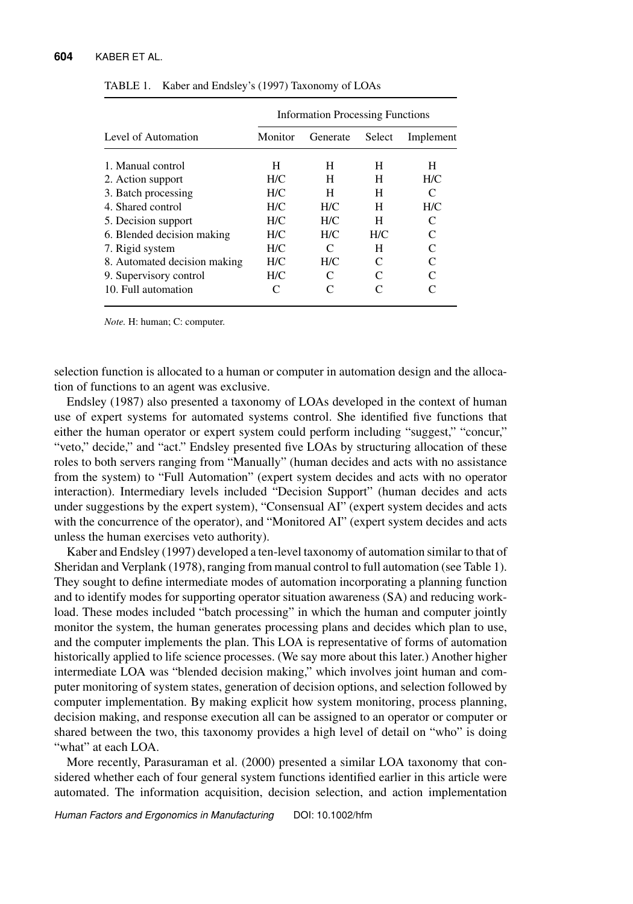|                              | <b>Information Processing Functions</b> |          |        |           |  |
|------------------------------|-----------------------------------------|----------|--------|-----------|--|
| Level of Automation          | Monitor                                 | Generate | Select | Implement |  |
| 1. Manual control            | н                                       | н        | н      | н         |  |
| 2. Action support            | H/C                                     | Н        | н      | H/C       |  |
| 3. Batch processing          | H/C                                     | Н        | н      | C         |  |
| 4. Shared control            | H/C                                     | H/C      | н      | H/C       |  |
| 5. Decision support          | H/C                                     | H/C      | н      | C         |  |
| 6. Blended decision making   | H/C                                     | H/C      | H/C    |           |  |
| 7. Rigid system              | H/C                                     | C        | н      |           |  |
| 8. Automated decision making | H/C                                     | H/C      | C      |           |  |
| 9. Supervisory control       | H/C                                     |          | C      |           |  |
| 10. Full automation          | C                                       |          |        |           |  |

TABLE 1. Kaber and Endsley's (1997) Taxonomy of LOAs

*Note.* H: human; C: computer.

selection function is allocated to a human or computer in automation design and the allocation of functions to an agent was exclusive.

Endsley (1987) also presented a taxonomy of LOAs developed in the context of human use of expert systems for automated systems control. She identified five functions that either the human operator or expert system could perform including "suggest," "concur," "veto," decide," and "act." Endsley presented five LOAs by structuring allocation of these roles to both servers ranging from "Manually" (human decides and acts with no assistance from the system) to "Full Automation" (expert system decides and acts with no operator interaction). Intermediary levels included "Decision Support" (human decides and acts under suggestions by the expert system), "Consensual AI" (expert system decides and acts with the concurrence of the operator), and "Monitored AI" (expert system decides and acts unless the human exercises veto authority).

Kaber and Endsley (1997) developed a ten-level taxonomy of automation similar to that of Sheridan and Verplank (1978), ranging from manual control to full automation (see Table 1). They sought to define intermediate modes of automation incorporating a planning function and to identify modes for supporting operator situation awareness (SA) and reducing workload. These modes included "batch processing" in which the human and computer jointly monitor the system, the human generates processing plans and decides which plan to use, and the computer implements the plan. This LOA is representative of forms of automation historically applied to life science processes. (We say more about this later.) Another higher intermediate LOA was "blended decision making," which involves joint human and computer monitoring of system states, generation of decision options, and selection followed by computer implementation. By making explicit how system monitoring, process planning, decision making, and response execution all can be assigned to an operator or computer or shared between the two, this taxonomy provides a high level of detail on "who" is doing "what" at each LOA.

More recently, Parasuraman et al. (2000) presented a similar LOA taxonomy that considered whether each of four general system functions identified earlier in this article were automated. The information acquisition, decision selection, and action implementation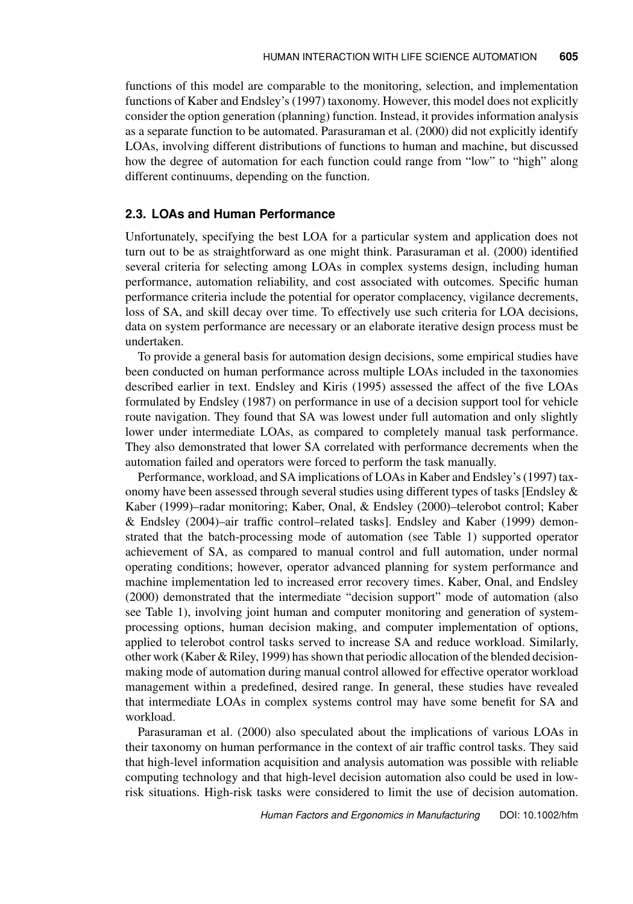functions of this model are comparable to the monitoring, selection, and implementation functions of Kaber and Endsley's (1997) taxonomy. However, this model does not explicitly consider the option generation (planning) function. Instead, it provides information analysis as a separate function to be automated. Parasuraman et al. (2000) did not explicitly identify LOAs, involving different distributions of functions to human and machine, but discussed how the degree of automation for each function could range from "low" to "high" along different continuums, depending on the function.

#### **2.3. LOAs and Human Performance**

Unfortunately, specifying the best LOA for a particular system and application does not turn out to be as straightforward as one might think. Parasuraman et al. (2000) identified several criteria for selecting among LOAs in complex systems design, including human performance, automation reliability, and cost associated with outcomes. Specific human performance criteria include the potential for operator complacency, vigilance decrements, loss of SA, and skill decay over time. To effectively use such criteria for LOA decisions, data on system performance are necessary or an elaborate iterative design process must be undertaken.

To provide a general basis for automation design decisions, some empirical studies have been conducted on human performance across multiple LOAs included in the taxonomies described earlier in text. Endsley and Kiris (1995) assessed the affect of the five LOAs formulated by Endsley (1987) on performance in use of a decision support tool for vehicle route navigation. They found that SA was lowest under full automation and only slightly lower under intermediate LOAs, as compared to completely manual task performance. They also demonstrated that lower SA correlated with performance decrements when the automation failed and operators were forced to perform the task manually.

Performance, workload, and SA implications of LOAs in Kaber and Endsley's (1997) taxonomy have been assessed through several studies using different types of tasks [Endsley & Kaber (1999)–radar monitoring; Kaber, Onal, & Endsley (2000)–telerobot control; Kaber & Endsley (2004)–air traffic control–related tasks]. Endsley and Kaber (1999) demonstrated that the batch-processing mode of automation (see Table 1) supported operator achievement of SA, as compared to manual control and full automation, under normal operating conditions; however, operator advanced planning for system performance and machine implementation led to increased error recovery times. Kaber, Onal, and Endsley (2000) demonstrated that the intermediate "decision support" mode of automation (also see Table 1), involving joint human and computer monitoring and generation of systemprocessing options, human decision making, and computer implementation of options, applied to telerobot control tasks served to increase SA and reduce workload. Similarly, other work (Kaber & Riley, 1999) has shown that periodic allocation of the blended decisionmaking mode of automation during manual control allowed for effective operator workload management within a predefined, desired range. In general, these studies have revealed that intermediate LOAs in complex systems control may have some benefit for SA and workload.

Parasuraman et al. (2000) also speculated about the implications of various LOAs in their taxonomy on human performance in the context of air traffic control tasks. They said that high-level information acquisition and analysis automation was possible with reliable computing technology and that high-level decision automation also could be used in lowrisk situations. High-risk tasks were considered to limit the use of decision automation.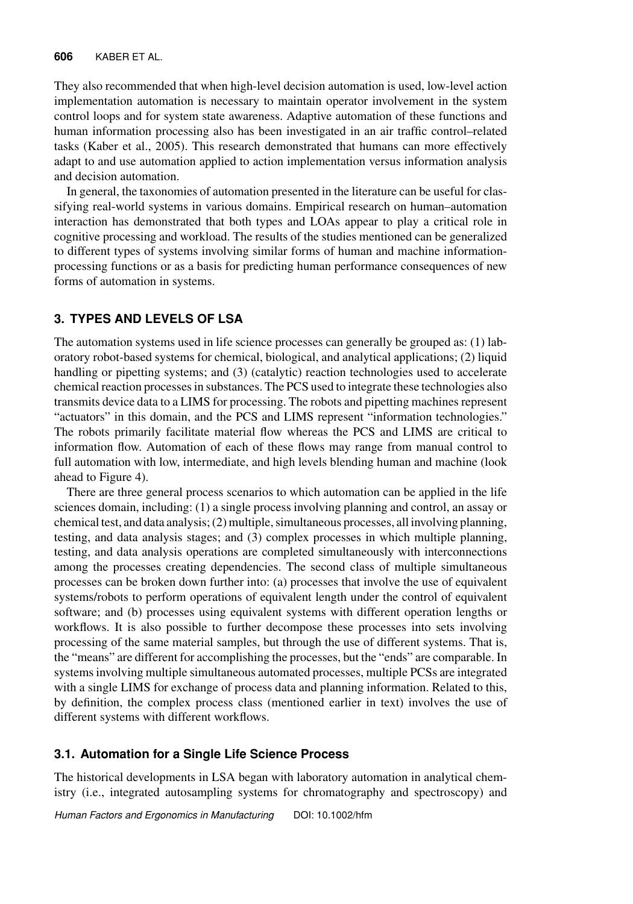They also recommended that when high-level decision automation is used, low-level action implementation automation is necessary to maintain operator involvement in the system control loops and for system state awareness. Adaptive automation of these functions and human information processing also has been investigated in an air traffic control–related tasks (Kaber et al., 2005). This research demonstrated that humans can more effectively adapt to and use automation applied to action implementation versus information analysis and decision automation.

In general, the taxonomies of automation presented in the literature can be useful for classifying real-world systems in various domains. Empirical research on human–automation interaction has demonstrated that both types and LOAs appear to play a critical role in cognitive processing and workload. The results of the studies mentioned can be generalized to different types of systems involving similar forms of human and machine informationprocessing functions or as a basis for predicting human performance consequences of new forms of automation in systems.

# **3. TYPES AND LEVELS OF LSA**

The automation systems used in life science processes can generally be grouped as: (1) laboratory robot-based systems for chemical, biological, and analytical applications; (2) liquid handling or pipetting systems; and (3) (catalytic) reaction technologies used to accelerate chemical reaction processes in substances. The PCS used to integrate these technologies also transmits device data to a LIMS for processing. The robots and pipetting machines represent "actuators" in this domain, and the PCS and LIMS represent "information technologies." The robots primarily facilitate material flow whereas the PCS and LIMS are critical to information flow. Automation of each of these flows may range from manual control to full automation with low, intermediate, and high levels blending human and machine (look ahead to Figure 4).

There are three general process scenarios to which automation can be applied in the life sciences domain, including: (1) a single process involving planning and control, an assay or chemical test, and data analysis; (2) multiple, simultaneous processes, all involving planning, testing, and data analysis stages; and (3) complex processes in which multiple planning, testing, and data analysis operations are completed simultaneously with interconnections among the processes creating dependencies. The second class of multiple simultaneous processes can be broken down further into: (a) processes that involve the use of equivalent systems/robots to perform operations of equivalent length under the control of equivalent software; and (b) processes using equivalent systems with different operation lengths or workflows. It is also possible to further decompose these processes into sets involving processing of the same material samples, but through the use of different systems. That is, the "means" are different for accomplishing the processes, but the "ends" are comparable. In systems involving multiple simultaneous automated processes, multiple PCSs are integrated with a single LIMS for exchange of process data and planning information. Related to this, by definition, the complex process class (mentioned earlier in text) involves the use of different systems with different workflows.

# **3.1. Automation for a Single Life Science Process**

The historical developments in LSA began with laboratory automation in analytical chemistry (i.e., integrated autosampling systems for chromatography and spectroscopy) and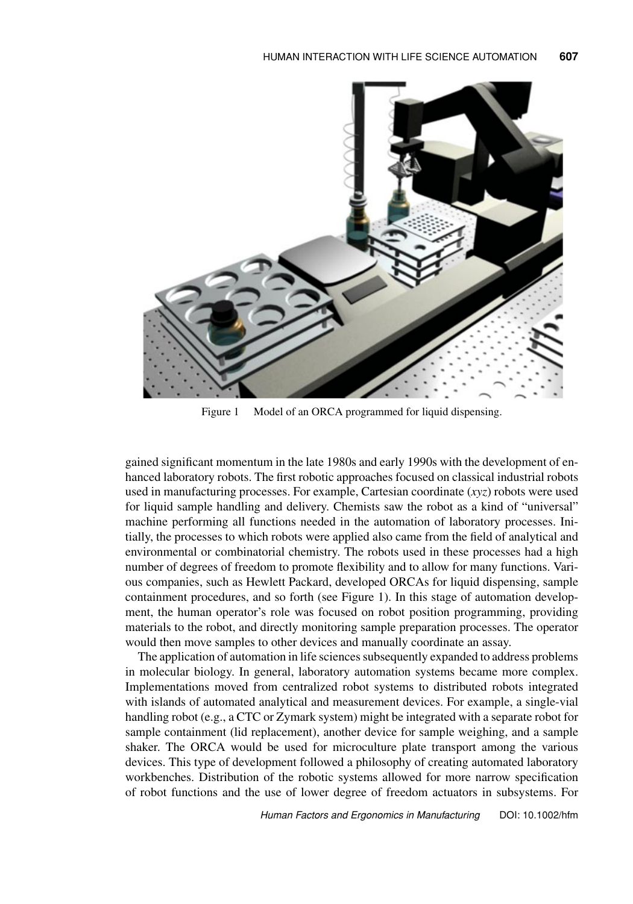

Figure 1 Model of an ORCA programmed for liquid dispensing.

gained significant momentum in the late 1980s and early 1990s with the development of enhanced laboratory robots. The first robotic approaches focused on classical industrial robots used in manufacturing processes. For example, Cartesian coordinate (*xyz*) robots were used for liquid sample handling and delivery. Chemists saw the robot as a kind of "universal" machine performing all functions needed in the automation of laboratory processes. Initially, the processes to which robots were applied also came from the field of analytical and environmental or combinatorial chemistry. The robots used in these processes had a high number of degrees of freedom to promote flexibility and to allow for many functions. Various companies, such as Hewlett Packard, developed ORCAs for liquid dispensing, sample containment procedures, and so forth (see Figure 1). In this stage of automation development, the human operator's role was focused on robot position programming, providing materials to the robot, and directly monitoring sample preparation processes. The operator would then move samples to other devices and manually coordinate an assay.

The application of automation in life sciences subsequently expanded to address problems in molecular biology. In general, laboratory automation systems became more complex. Implementations moved from centralized robot systems to distributed robots integrated with islands of automated analytical and measurement devices. For example, a single-vial handling robot (e.g., a CTC or Zymark system) might be integrated with a separate robot for sample containment (lid replacement), another device for sample weighing, and a sample shaker. The ORCA would be used for microculture plate transport among the various devices. This type of development followed a philosophy of creating automated laboratory workbenches. Distribution of the robotic systems allowed for more narrow specification of robot functions and the use of lower degree of freedom actuators in subsystems. For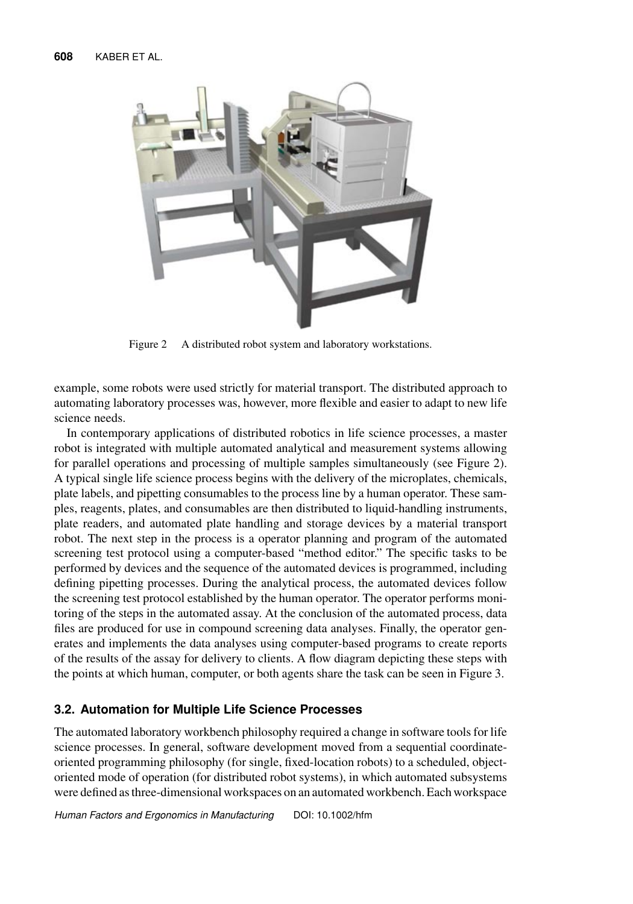

Figure 2 A distributed robot system and laboratory workstations.

example, some robots were used strictly for material transport. The distributed approach to automating laboratory processes was, however, more flexible and easier to adapt to new life science needs.

In contemporary applications of distributed robotics in life science processes, a master robot is integrated with multiple automated analytical and measurement systems allowing for parallel operations and processing of multiple samples simultaneously (see Figure 2). A typical single life science process begins with the delivery of the microplates, chemicals, plate labels, and pipetting consumables to the process line by a human operator. These samples, reagents, plates, and consumables are then distributed to liquid-handling instruments, plate readers, and automated plate handling and storage devices by a material transport robot. The next step in the process is a operator planning and program of the automated screening test protocol using a computer-based "method editor." The specific tasks to be performed by devices and the sequence of the automated devices is programmed, including defining pipetting processes. During the analytical process, the automated devices follow the screening test protocol established by the human operator. The operator performs monitoring of the steps in the automated assay. At the conclusion of the automated process, data files are produced for use in compound screening data analyses. Finally, the operator generates and implements the data analyses using computer-based programs to create reports of the results of the assay for delivery to clients. A flow diagram depicting these steps with the points at which human, computer, or both agents share the task can be seen in Figure 3.

# **3.2. Automation for Multiple Life Science Processes**

The automated laboratory workbench philosophy required a change in software tools for life science processes. In general, software development moved from a sequential coordinateoriented programming philosophy (for single, fixed-location robots) to a scheduled, objectoriented mode of operation (for distributed robot systems), in which automated subsystems were defined as three-dimensional workspaces on an automated workbench. Each workspace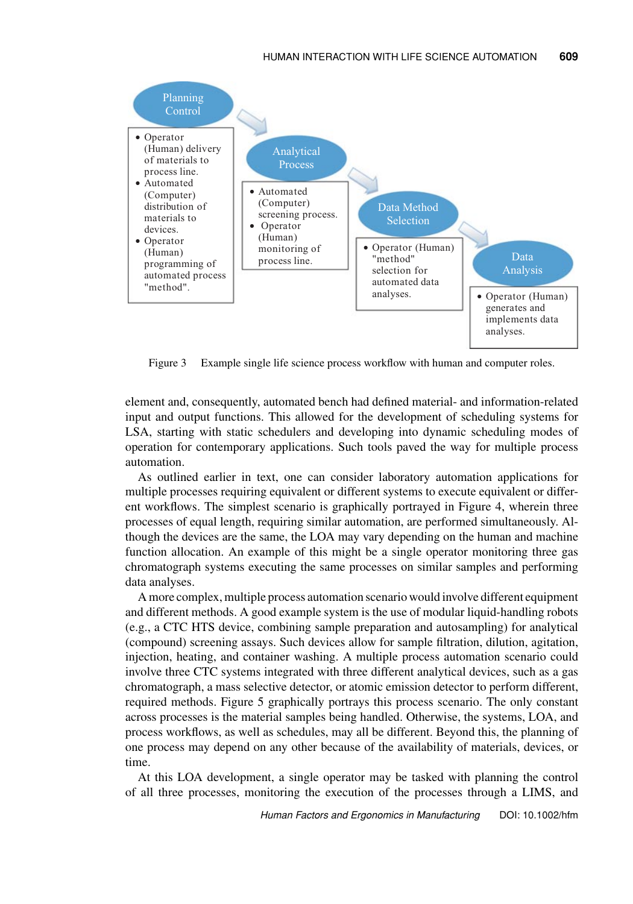

Figure 3 Example single life science process workflow with human and computer roles.

element and, consequently, automated bench had defined material- and information-related input and output functions. This allowed for the development of scheduling systems for LSA, starting with static schedulers and developing into dynamic scheduling modes of operation for contemporary applications. Such tools paved the way for multiple process automation.

As outlined earlier in text, one can consider laboratory automation applications for multiple processes requiring equivalent or different systems to execute equivalent or different workflows. The simplest scenario is graphically portrayed in Figure 4, wherein three processes of equal length, requiring similar automation, are performed simultaneously. Although the devices are the same, the LOA may vary depending on the human and machine function allocation. An example of this might be a single operator monitoring three gas chromatograph systems executing the same processes on similar samples and performing data analyses.

A more complex, multiple process automation scenario would involve different equipment and different methods. A good example system is the use of modular liquid-handling robots (e.g., a CTC HTS device, combining sample preparation and autosampling) for analytical (compound) screening assays. Such devices allow for sample filtration, dilution, agitation, injection, heating, and container washing. A multiple process automation scenario could involve three CTC systems integrated with three different analytical devices, such as a gas chromatograph, a mass selective detector, or atomic emission detector to perform different, required methods. Figure 5 graphically portrays this process scenario. The only constant across processes is the material samples being handled. Otherwise, the systems, LOA, and process workflows, as well as schedules, may all be different. Beyond this, the planning of one process may depend on any other because of the availability of materials, devices, or time.

At this LOA development, a single operator may be tasked with planning the control of all three processes, monitoring the execution of the processes through a LIMS, and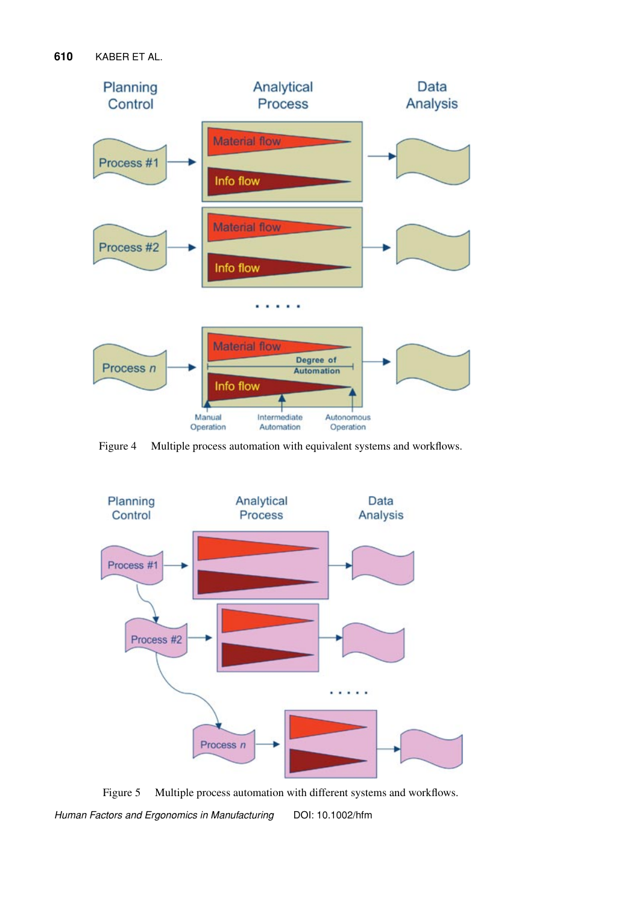

Figure 4 Multiple process automation with equivalent systems and workflows.



Figure 5 Multiple process automation with different systems and workflows. Human Factors and Ergonomics in Manufacturing DOI: 10.1002/hfm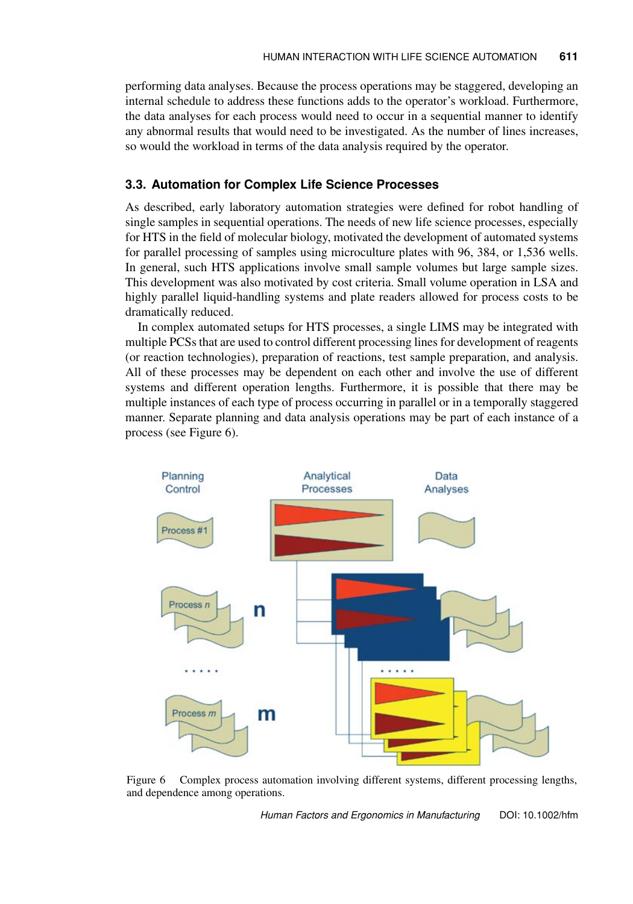performing data analyses. Because the process operations may be staggered, developing an internal schedule to address these functions adds to the operator's workload. Furthermore, the data analyses for each process would need to occur in a sequential manner to identify any abnormal results that would need to be investigated. As the number of lines increases, so would the workload in terms of the data analysis required by the operator.

#### **3.3. Automation for Complex Life Science Processes**

As described, early laboratory automation strategies were defined for robot handling of single samples in sequential operations. The needs of new life science processes, especially for HTS in the field of molecular biology, motivated the development of automated systems for parallel processing of samples using microculture plates with 96, 384, or 1,536 wells. In general, such HTS applications involve small sample volumes but large sample sizes. This development was also motivated by cost criteria. Small volume operation in LSA and highly parallel liquid-handling systems and plate readers allowed for process costs to be dramatically reduced.

In complex automated setups for HTS processes, a single LIMS may be integrated with multiple PCSs that are used to control different processing lines for development of reagents (or reaction technologies), preparation of reactions, test sample preparation, and analysis. All of these processes may be dependent on each other and involve the use of different systems and different operation lengths. Furthermore, it is possible that there may be multiple instances of each type of process occurring in parallel or in a temporally staggered manner. Separate planning and data analysis operations may be part of each instance of a process (see Figure 6).



Figure 6 Complex process automation involving different systems, different processing lengths, and dependence among operations.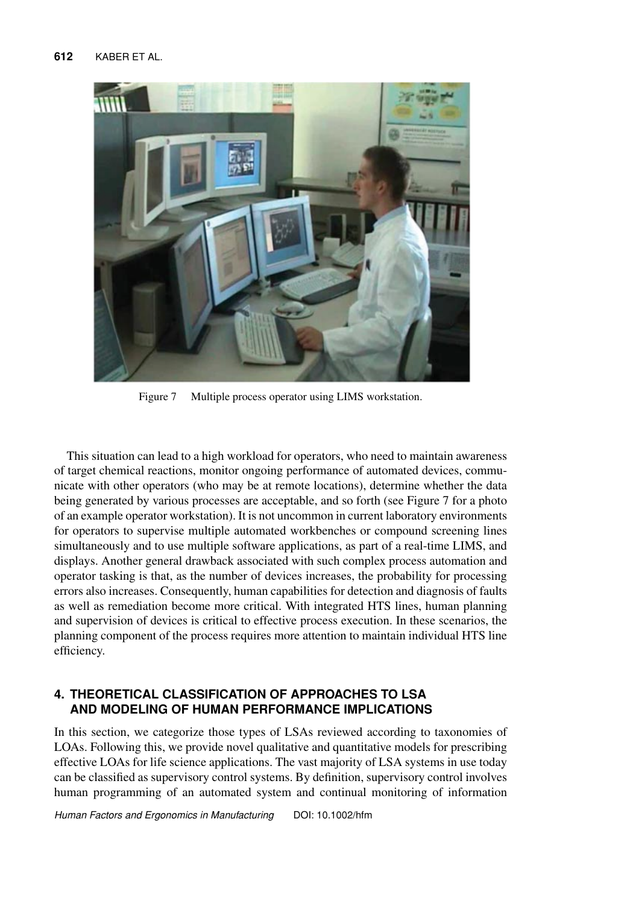

Figure 7 Multiple process operator using LIMS workstation.

This situation can lead to a high workload for operators, who need to maintain awareness of target chemical reactions, monitor ongoing performance of automated devices, communicate with other operators (who may be at remote locations), determine whether the data being generated by various processes are acceptable, and so forth (see Figure 7 for a photo of an example operator workstation). It is not uncommon in current laboratory environments for operators to supervise multiple automated workbenches or compound screening lines simultaneously and to use multiple software applications, as part of a real-time LIMS, and displays. Another general drawback associated with such complex process automation and operator tasking is that, as the number of devices increases, the probability for processing errors also increases. Consequently, human capabilities for detection and diagnosis of faults as well as remediation become more critical. With integrated HTS lines, human planning and supervision of devices is critical to effective process execution. In these scenarios, the planning component of the process requires more attention to maintain individual HTS line efficiency.

# **4. THEORETICAL CLASSIFICATION OF APPROACHES TO LSA AND MODELING OF HUMAN PERFORMANCE IMPLICATIONS**

In this section, we categorize those types of LSAs reviewed according to taxonomies of LOAs. Following this, we provide novel qualitative and quantitative models for prescribing effective LOAs for life science applications. The vast majority of LSA systems in use today can be classified as supervisory control systems. By definition, supervisory control involves human programming of an automated system and continual monitoring of information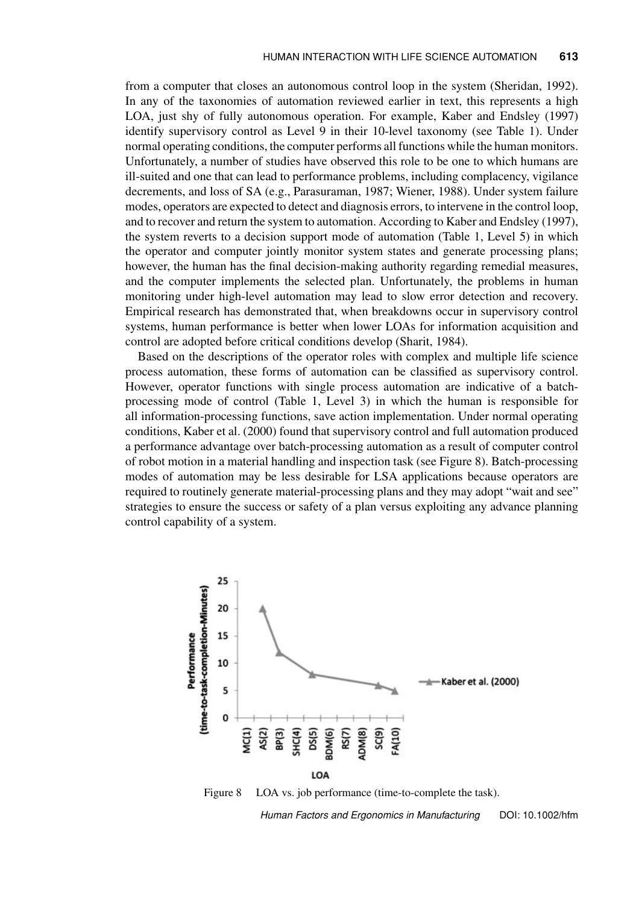from a computer that closes an autonomous control loop in the system (Sheridan, 1992). In any of the taxonomies of automation reviewed earlier in text, this represents a high LOA, just shy of fully autonomous operation. For example, Kaber and Endsley (1997) identify supervisory control as Level 9 in their 10-level taxonomy (see Table 1). Under normal operating conditions, the computer performs all functions while the human monitors. Unfortunately, a number of studies have observed this role to be one to which humans are ill-suited and one that can lead to performance problems, including complacency, vigilance decrements, and loss of SA (e.g., Parasuraman, 1987; Wiener, 1988). Under system failure modes, operators are expected to detect and diagnosis errors, to intervene in the control loop, and to recover and return the system to automation. According to Kaber and Endsley (1997), the system reverts to a decision support mode of automation (Table 1, Level 5) in which the operator and computer jointly monitor system states and generate processing plans; however, the human has the final decision-making authority regarding remedial measures, and the computer implements the selected plan. Unfortunately, the problems in human monitoring under high-level automation may lead to slow error detection and recovery. Empirical research has demonstrated that, when breakdowns occur in supervisory control systems, human performance is better when lower LOAs for information acquisition and control are adopted before critical conditions develop (Sharit, 1984).

Based on the descriptions of the operator roles with complex and multiple life science process automation, these forms of automation can be classified as supervisory control. However, operator functions with single process automation are indicative of a batchprocessing mode of control (Table 1, Level 3) in which the human is responsible for all information-processing functions, save action implementation. Under normal operating conditions, Kaber et al. (2000) found that supervisory control and full automation produced a performance advantage over batch-processing automation as a result of computer control of robot motion in a material handling and inspection task (see Figure 8). Batch-processing modes of automation may be less desirable for LSA applications because operators are required to routinely generate material-processing plans and they may adopt "wait and see" strategies to ensure the success or safety of a plan versus exploiting any advance planning control capability of a system.



Figure 8 LOA vs. job performance (time-to-complete the task). Human Factors and Ergonomics in Manufacturing DOI: 10.1002/hfm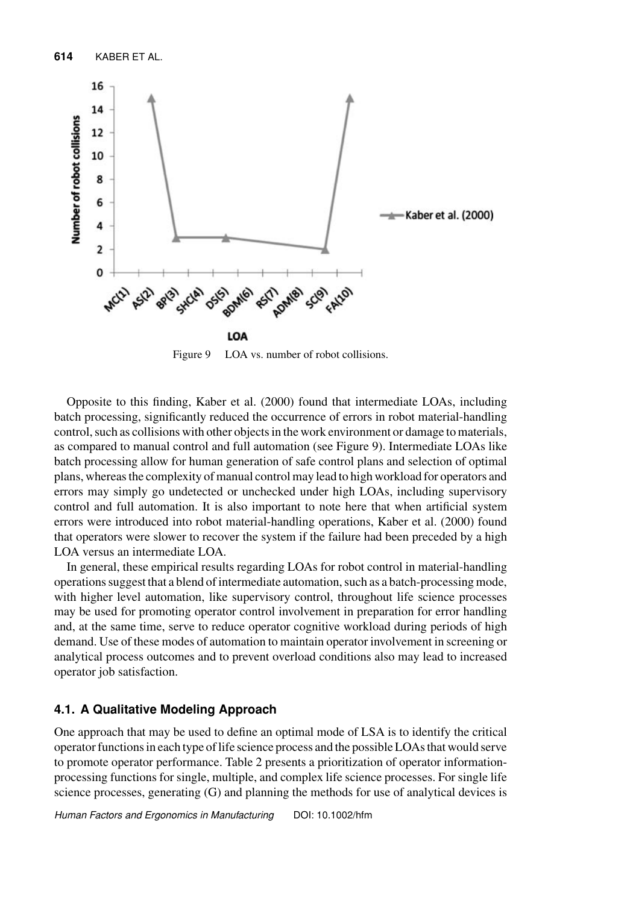

Opposite to this finding, Kaber et al. (2000) found that intermediate LOAs, including batch processing, significantly reduced the occurrence of errors in robot material-handling control, such as collisions with other objects in the work environment or damage to materials, as compared to manual control and full automation (see Figure 9). Intermediate LOAs like batch processing allow for human generation of safe control plans and selection of optimal plans, whereas the complexity of manual control may lead to high workload for operators and errors may simply go undetected or unchecked under high LOAs, including supervisory control and full automation. It is also important to note here that when artificial system errors were introduced into robot material-handling operations, Kaber et al. (2000) found that operators were slower to recover the system if the failure had been preceded by a high LOA versus an intermediate LOA.

In general, these empirical results regarding LOAs for robot control in material-handling operations suggest that a blend of intermediate automation, such as a batch-processing mode, with higher level automation, like supervisory control, throughout life science processes may be used for promoting operator control involvement in preparation for error handling and, at the same time, serve to reduce operator cognitive workload during periods of high demand. Use of these modes of automation to maintain operator involvement in screening or analytical process outcomes and to prevent overload conditions also may lead to increased operator job satisfaction.

#### **4.1. A Qualitative Modeling Approach**

One approach that may be used to define an optimal mode of LSA is to identify the critical operator functions in each type of life science process and the possible LOAs that would serve to promote operator performance. Table 2 presents a prioritization of operator informationprocessing functions for single, multiple, and complex life science processes. For single life science processes, generating (G) and planning the methods for use of analytical devices is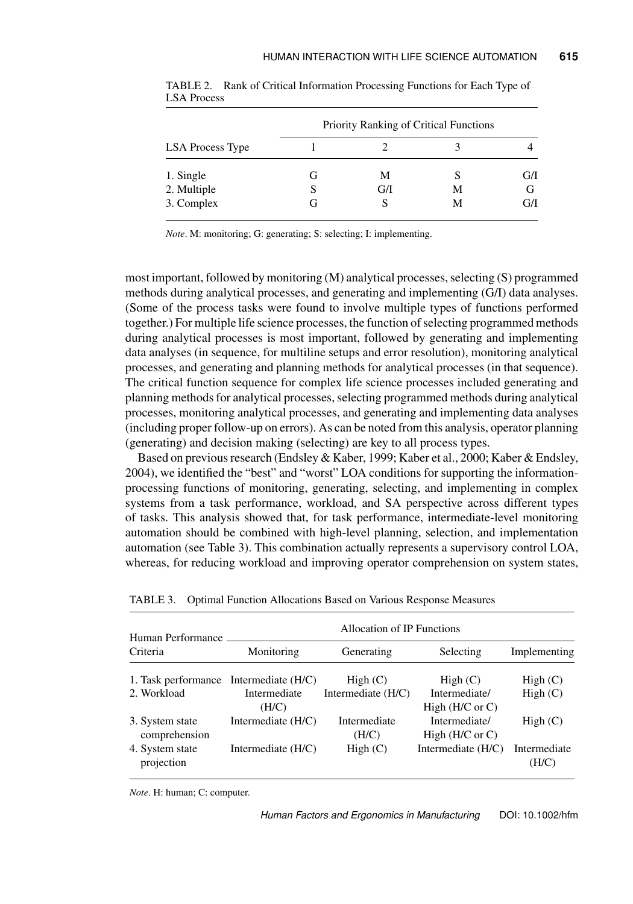| LSA Process Type | <b>Priority Ranking of Critical Functions</b> |     |   |    |
|------------------|-----------------------------------------------|-----|---|----|
|                  |                                               |     |   |    |
| 1. Single        | G                                             | М   | S | GÆ |
| 2. Multiple      | S                                             | G/I | М |    |
| 3. Complex       | G,                                            |     | М | GÆ |

TABLE 2. Rank of Critical Information Processing Functions for Each Type of LSA Process

*Note*. M: monitoring; G: generating; S: selecting; I: implementing.

most important, followed by monitoring (M) analytical processes, selecting (S) programmed methods during analytical processes, and generating and implementing (G/I) data analyses. (Some of the process tasks were found to involve multiple types of functions performed together.) For multiple life science processes, the function of selecting programmed methods during analytical processes is most important, followed by generating and implementing data analyses (in sequence, for multiline setups and error resolution), monitoring analytical processes, and generating and planning methods for analytical processes (in that sequence). The critical function sequence for complex life science processes included generating and planning methods for analytical processes, selecting programmed methods during analytical processes, monitoring analytical processes, and generating and implementing data analyses (including proper follow-up on errors). As can be noted from this analysis, operator planning (generating) and decision making (selecting) are key to all process types.

Based on previous research (Endsley & Kaber, 1999; Kaber et al., 2000; Kaber & Endsley, 2004), we identified the "best" and "worst" LOA conditions for supporting the informationprocessing functions of monitoring, generating, selecting, and implementing in complex systems from a task performance, workload, and SA perspective across different types of tasks. This analysis showed that, for task performance, intermediate-level monitoring automation should be combined with high-level planning, selection, and implementation automation (see Table 3). This combination actually represents a supervisory control LOA, whereas, for reducing workload and improving operator comprehension on system states,

| Human Performance<br>Criteria |                                  | Allocation of IP Functions             |                       |                                      |                       |  |
|-------------------------------|----------------------------------|----------------------------------------|-----------------------|--------------------------------------|-----------------------|--|
|                               |                                  | Monitoring                             | Generating            | Selecting                            | Implementing          |  |
|                               |                                  | 1. Task performance Intermediate (H/C) | High (C)              | High (C)                             | High (C)              |  |
|                               | 2. Workload                      | Intermediate<br>(H/C)                  | Intermediate (H/C)    | Intermediate/<br>High $(H/C$ or $C)$ | High (C)              |  |
|                               | 3. System state<br>comprehension | Intermediate (H/C)                     | Intermediate<br>(H/C) | Intermediate/<br>High $(H/C$ or $C)$ | High (C)              |  |
|                               | 4. System state<br>projection    | Intermediate (H/C)                     | High (C)              | Intermediate (H/C)                   | Intermediate<br>(H/C) |  |

TABLE 3. Optimal Function Allocations Based on Various Response Measures

*Note*. H: human; C: computer.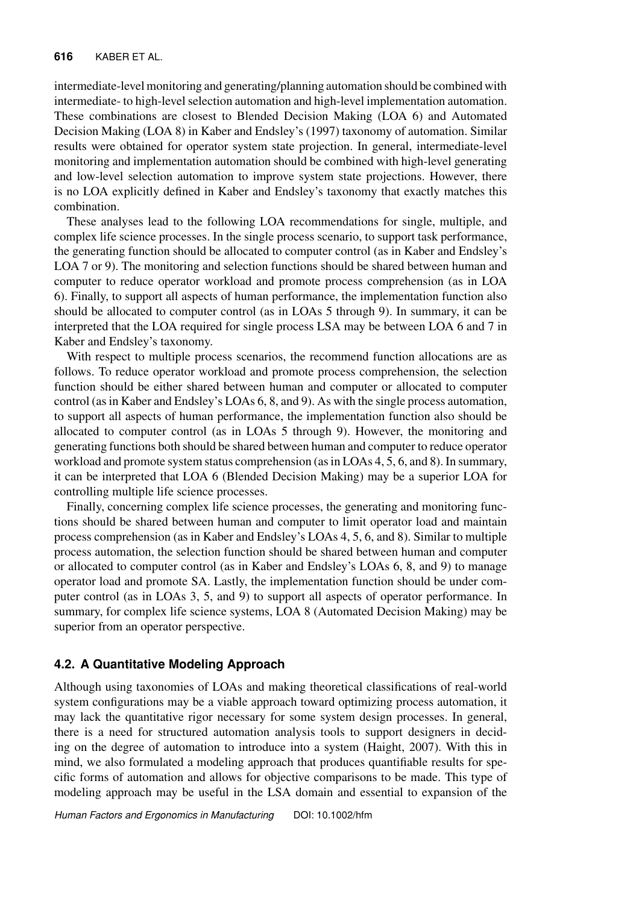intermediate-level monitoring and generating/planning automation should be combined with intermediate- to high-level selection automation and high-level implementation automation. These combinations are closest to Blended Decision Making (LOA 6) and Automated Decision Making (LOA 8) in Kaber and Endsley's (1997) taxonomy of automation. Similar results were obtained for operator system state projection. In general, intermediate-level monitoring and implementation automation should be combined with high-level generating and low-level selection automation to improve system state projections. However, there is no LOA explicitly defined in Kaber and Endsley's taxonomy that exactly matches this combination.

These analyses lead to the following LOA recommendations for single, multiple, and complex life science processes. In the single process scenario, to support task performance, the generating function should be allocated to computer control (as in Kaber and Endsley's LOA 7 or 9). The monitoring and selection functions should be shared between human and computer to reduce operator workload and promote process comprehension (as in LOA 6). Finally, to support all aspects of human performance, the implementation function also should be allocated to computer control (as in LOAs 5 through 9). In summary, it can be interpreted that the LOA required for single process LSA may be between LOA 6 and 7 in Kaber and Endsley's taxonomy.

With respect to multiple process scenarios, the recommend function allocations are as follows. To reduce operator workload and promote process comprehension, the selection function should be either shared between human and computer or allocated to computer control (as in Kaber and Endsley's LOAs 6, 8, and 9). As with the single process automation, to support all aspects of human performance, the implementation function also should be allocated to computer control (as in LOAs 5 through 9). However, the monitoring and generating functions both should be shared between human and computer to reduce operator workload and promote system status comprehension (as in LOAs 4, 5, 6, and 8). In summary, it can be interpreted that LOA 6 (Blended Decision Making) may be a superior LOA for controlling multiple life science processes.

Finally, concerning complex life science processes, the generating and monitoring functions should be shared between human and computer to limit operator load and maintain process comprehension (as in Kaber and Endsley's LOAs 4, 5, 6, and 8). Similar to multiple process automation, the selection function should be shared between human and computer or allocated to computer control (as in Kaber and Endsley's LOAs 6, 8, and 9) to manage operator load and promote SA. Lastly, the implementation function should be under computer control (as in LOAs 3, 5, and 9) to support all aspects of operator performance. In summary, for complex life science systems, LOA 8 (Automated Decision Making) may be superior from an operator perspective.

#### **4.2. A Quantitative Modeling Approach**

Although using taxonomies of LOAs and making theoretical classifications of real-world system configurations may be a viable approach toward optimizing process automation, it may lack the quantitative rigor necessary for some system design processes. In general, there is a need for structured automation analysis tools to support designers in deciding on the degree of automation to introduce into a system (Haight, 2007). With this in mind, we also formulated a modeling approach that produces quantifiable results for specific forms of automation and allows for objective comparisons to be made. This type of modeling approach may be useful in the LSA domain and essential to expansion of the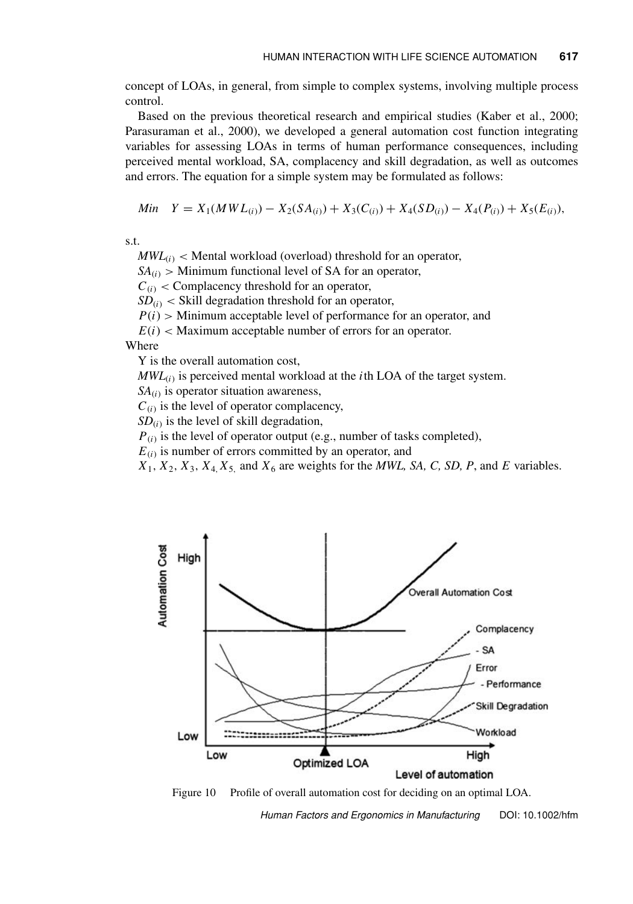concept of LOAs, in general, from simple to complex systems, involving multiple process control.

Based on the previous theoretical research and empirical studies (Kaber et al., 2000; Parasuraman et al., 2000), we developed a general automation cost function integrating variables for assessing LOAs in terms of human performance consequences, including perceived mental workload, SA, complacency and skill degradation, as well as outcomes and errors. The equation for a simple system may be formulated as follows:

$$
Min \quad Y = X_1(MWL_{(i)}) - X_2(SA_{(i)}) + X_3(C_{(i)}) + X_4(SD_{(i)}) - X_4(P_{(i)}) + X_5(E_{(i)}),
$$

s.t.

 $MWL_{(i)}$  < Mental workload (overload) threshold for an operator,

 $SA(i)$  *>* Minimum functional level of SA for an operator,

 $C_{(i)}$  < Complacency threshold for an operator,

 $SD(i)$  < Skill degradation threshold for an operator,

 $P(i)$  *>* Minimum acceptable level of performance for an operator, and

 $E(i)$  < Maximum acceptable number of errors for an operator.

Where

Y is the overall automation cost,

*MWL*(*i*) is perceived mental workload at the *i*th LOA of the target system.

 $SA(i)$  is operator situation awareness,

 $C_{(i)}$  is the level of operator complacency,

 $SD(i)$  is the level of skill degradation,

 $P_{(i)}$  is the level of operator output (e.g., number of tasks completed),

 $E_{(i)}$  is number of errors committed by an operator, and

 $X_1, X_2, X_3, X_4, X_5$  and  $X_6$  are weights for the *MWL*, SA, C, SD, P, and E variables.



Figure 10 Profile of overall automation cost for deciding on an optimal LOA. Human Factors and Ergonomics in Manufacturing DOI: 10.1002/hfm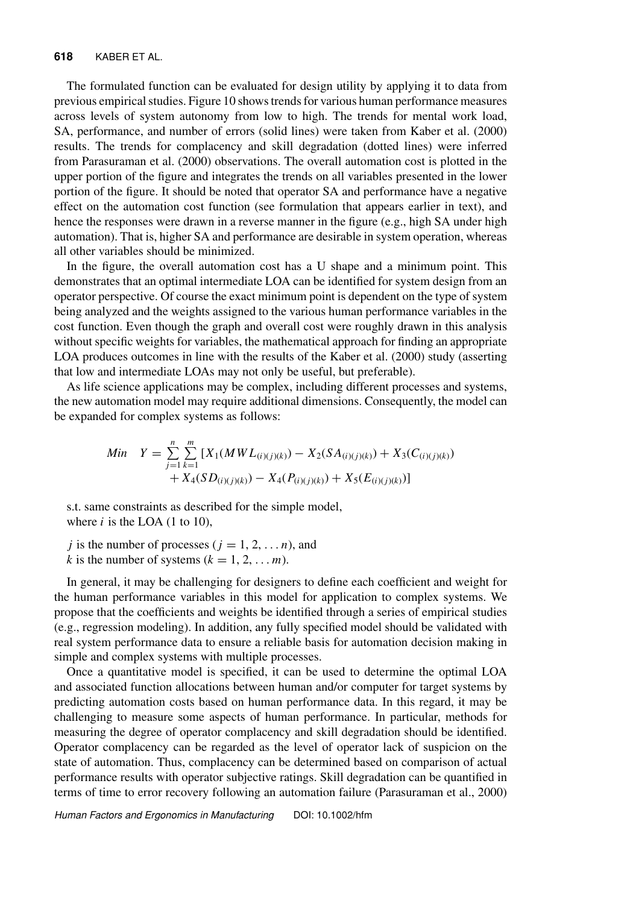The formulated function can be evaluated for design utility by applying it to data from previous empirical studies. Figure 10 shows trends for various human performance measures across levels of system autonomy from low to high. The trends for mental work load, SA, performance, and number of errors (solid lines) were taken from Kaber et al. (2000) results. The trends for complacency and skill degradation (dotted lines) were inferred from Parasuraman et al. (2000) observations. The overall automation cost is plotted in the upper portion of the figure and integrates the trends on all variables presented in the lower portion of the figure. It should be noted that operator SA and performance have a negative effect on the automation cost function (see formulation that appears earlier in text), and hence the responses were drawn in a reverse manner in the figure (e.g., high SA under high automation). That is, higher SA and performance are desirable in system operation, whereas all other variables should be minimized.

In the figure, the overall automation cost has a U shape and a minimum point. This demonstrates that an optimal intermediate LOA can be identified for system design from an operator perspective. Of course the exact minimum point is dependent on the type of system being analyzed and the weights assigned to the various human performance variables in the cost function. Even though the graph and overall cost were roughly drawn in this analysis without specific weights for variables, the mathematical approach for finding an appropriate LOA produces outcomes in line with the results of the Kaber et al. (2000) study (asserting that low and intermediate LOAs may not only be useful, but preferable).

As life science applications may be complex, including different processes and systems, the new automation model may require additional dimensions. Consequently, the model can be expanded for complex systems as follows:

Min 
$$
Y = \sum_{j=1}^{n} \sum_{k=1}^{m} [X_1(MWL_{(i)(j)(k)}) - X_2(SA_{(i)(j)(k)}) + X_3(C_{(i)(j)(k)}) + X_4(SD_{(i)(j)(k)}) - X_4(P_{(i)(j)(k)}) + X_5(E_{(i)(j)(k)})]
$$

s.t. same constraints as described for the simple model, where  $i$  is the LOA  $(1 \text{ to } 10)$ ,

*j* is the number of processes ( $j = 1, 2, \ldots n$ ), and *k* is the number of systems  $(k = 1, 2, \ldots m)$ .

In general, it may be challenging for designers to define each coefficient and weight for the human performance variables in this model for application to complex systems. We propose that the coefficients and weights be identified through a series of empirical studies (e.g., regression modeling). In addition, any fully specified model should be validated with real system performance data to ensure a reliable basis for automation decision making in simple and complex systems with multiple processes.

Once a quantitative model is specified, it can be used to determine the optimal LOA and associated function allocations between human and/or computer for target systems by predicting automation costs based on human performance data. In this regard, it may be challenging to measure some aspects of human performance. In particular, methods for measuring the degree of operator complacency and skill degradation should be identified. Operator complacency can be regarded as the level of operator lack of suspicion on the state of automation. Thus, complacency can be determined based on comparison of actual performance results with operator subjective ratings. Skill degradation can be quantified in terms of time to error recovery following an automation failure (Parasuraman et al., 2000)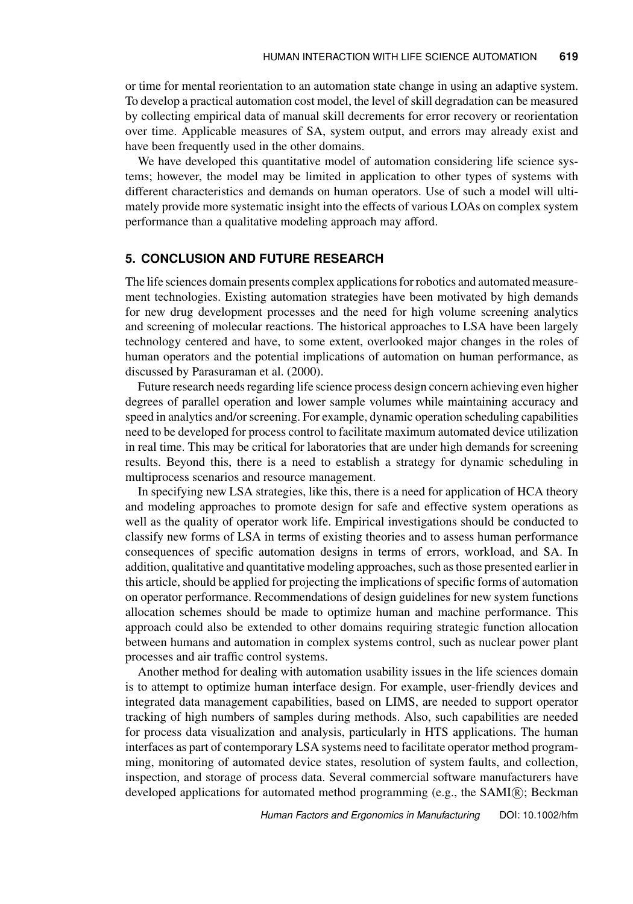or time for mental reorientation to an automation state change in using an adaptive system. To develop a practical automation cost model, the level of skill degradation can be measured by collecting empirical data of manual skill decrements for error recovery or reorientation over time. Applicable measures of SA, system output, and errors may already exist and have been frequently used in the other domains.

We have developed this quantitative model of automation considering life science systems; however, the model may be limited in application to other types of systems with different characteristics and demands on human operators. Use of such a model will ultimately provide more systematic insight into the effects of various LOAs on complex system performance than a qualitative modeling approach may afford.

## **5. CONCLUSION AND FUTURE RESEARCH**

The life sciences domain presents complex applications for robotics and automated measurement technologies. Existing automation strategies have been motivated by high demands for new drug development processes and the need for high volume screening analytics and screening of molecular reactions. The historical approaches to LSA have been largely technology centered and have, to some extent, overlooked major changes in the roles of human operators and the potential implications of automation on human performance, as discussed by Parasuraman et al. (2000).

Future research needs regarding life science process design concern achieving even higher degrees of parallel operation and lower sample volumes while maintaining accuracy and speed in analytics and/or screening. For example, dynamic operation scheduling capabilities need to be developed for process control to facilitate maximum automated device utilization in real time. This may be critical for laboratories that are under high demands for screening results. Beyond this, there is a need to establish a strategy for dynamic scheduling in multiprocess scenarios and resource management.

In specifying new LSA strategies, like this, there is a need for application of HCA theory and modeling approaches to promote design for safe and effective system operations as well as the quality of operator work life. Empirical investigations should be conducted to classify new forms of LSA in terms of existing theories and to assess human performance consequences of specific automation designs in terms of errors, workload, and SA. In addition, qualitative and quantitative modeling approaches, such as those presented earlier in this article, should be applied for projecting the implications of specific forms of automation on operator performance. Recommendations of design guidelines for new system functions allocation schemes should be made to optimize human and machine performance. This approach could also be extended to other domains requiring strategic function allocation between humans and automation in complex systems control, such as nuclear power plant processes and air traffic control systems.

Another method for dealing with automation usability issues in the life sciences domain is to attempt to optimize human interface design. For example, user-friendly devices and integrated data management capabilities, based on LIMS, are needed to support operator tracking of high numbers of samples during methods. Also, such capabilities are needed for process data visualization and analysis, particularly in HTS applications. The human interfaces as part of contemporary LSA systems need to facilitate operator method programming, monitoring of automated device states, resolution of system faults, and collection, inspection, and storage of process data. Several commercial software manufacturers have developed applications for automated method programming (e.g., the SAMI®); Beckman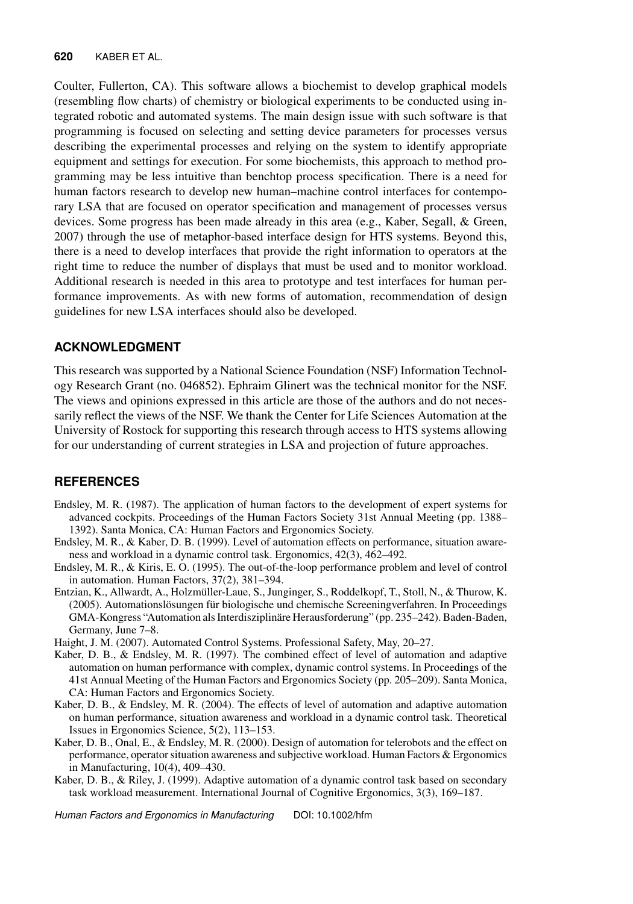Coulter, Fullerton, CA). This software allows a biochemist to develop graphical models (resembling flow charts) of chemistry or biological experiments to be conducted using integrated robotic and automated systems. The main design issue with such software is that programming is focused on selecting and setting device parameters for processes versus describing the experimental processes and relying on the system to identify appropriate equipment and settings for execution. For some biochemists, this approach to method programming may be less intuitive than benchtop process specification. There is a need for human factors research to develop new human–machine control interfaces for contemporary LSA that are focused on operator specification and management of processes versus devices. Some progress has been made already in this area (e.g., Kaber, Segall, & Green, 2007) through the use of metaphor-based interface design for HTS systems. Beyond this, there is a need to develop interfaces that provide the right information to operators at the right time to reduce the number of displays that must be used and to monitor workload. Additional research is needed in this area to prototype and test interfaces for human performance improvements. As with new forms of automation, recommendation of design guidelines for new LSA interfaces should also be developed.

# **ACKNOWLEDGMENT**

This research was supported by a National Science Foundation (NSF) Information Technology Research Grant (no. 046852). Ephraim Glinert was the technical monitor for the NSF. The views and opinions expressed in this article are those of the authors and do not necessarily reflect the views of the NSF. We thank the Center for Life Sciences Automation at the University of Rostock for supporting this research through access to HTS systems allowing for our understanding of current strategies in LSA and projection of future approaches.

# **REFERENCES**

- Endsley, M. R. (1987). The application of human factors to the development of expert systems for advanced cockpits. Proceedings of the Human Factors Society 31st Annual Meeting (pp. 1388– 1392). Santa Monica, CA: Human Factors and Ergonomics Society.
- Endsley, M. R., & Kaber, D. B. (1999). Level of automation effects on performance, situation awareness and workload in a dynamic control task. Ergonomics, 42(3), 462–492.
- Endsley, M. R., & Kiris, E. O. (1995). The out-of-the-loop performance problem and level of control in automation. Human Factors, 37(2), 381–394.
- Entzian, K., Allwardt, A., Holzmuller-Laue, S., Junginger, S., Roddelkopf, T., Stoll, N., & Thurow, K. ¨ (2005). Automationslösungen für biologische und chemische Screeningverfahren. In Proceedings GMA-Kongress "Automation als Interdisziplinäre Herausforderung" (pp. 235–242). Baden-Baden, Germany, June 7–8.

Haight, J. M. (2007). Automated Control Systems. Professional Safety, May, 20–27.

- Kaber, D. B., & Endsley, M. R. (1997). The combined effect of level of automation and adaptive automation on human performance with complex, dynamic control systems. In Proceedings of the 41st Annual Meeting of the Human Factors and Ergonomics Society (pp. 205–209). Santa Monica, CA: Human Factors and Ergonomics Society.
- Kaber, D. B., & Endsley, M. R. (2004). The effects of level of automation and adaptive automation on human performance, situation awareness and workload in a dynamic control task. Theoretical Issues in Ergonomics Science, 5(2), 113–153.
- Kaber, D. B., Onal, E., & Endsley, M. R. (2000). Design of automation for telerobots and the effect on performance, operator situation awareness and subjective workload. Human Factors & Ergonomics in Manufacturing, 10(4), 409–430.
- Kaber, D. B., & Riley, J. (1999). Adaptive automation of a dynamic control task based on secondary task workload measurement. International Journal of Cognitive Ergonomics, 3(3), 169–187.